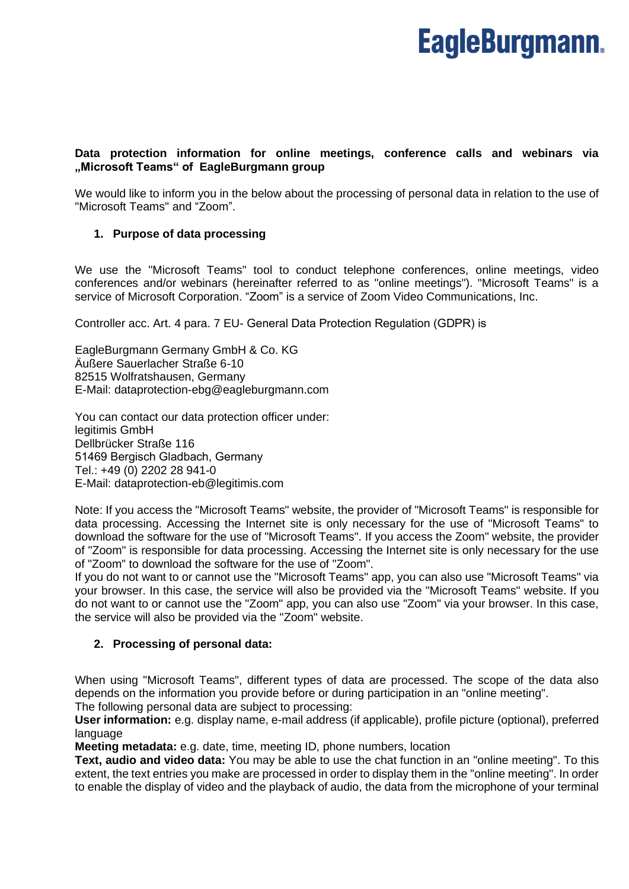# **Data protection information for online meetings, conference calls and webinars via "Microsoft Teams" of EagleBurgmann group**

We would like to inform you in the below about the processing of personal data in relation to the use of "Microsoft Teams" and "Zoom".

# **1. Purpose of data processing**

We use the "Microsoft Teams" tool to conduct telephone conferences, online meetings, video conferences and/or webinars (hereinafter referred to as "online meetings"). "Microsoft Teams" is a service of Microsoft Corporation. "Zoom" is a service of Zoom Video Communications, Inc.

Controller acc. Art. 4 para. 7 EU- General Data Protection Regulation (GDPR) is 

EagleBurgmann Germany GmbH & Co. KG Äußere Sauerlacher Straße 6-10 82515 Wolfratshausen, Germany E-Mail: dataprotection-ebg@eagleburgmann.com

You can contact our data protection officer under: legitimis GmbH Dellbrücker Straße 116 51469 Bergisch Gladbach, Germany  Tel.: +49 (0) 2202 28 941-0 E-Mail: dataprotection-eb@legitimis.com

Note: If you access the "Microsoft Teams" website, the provider of "Microsoft Teams" is responsible for data processing. Accessing the Internet site is only necessary for the use of "Microsoft Teams" to download the software for the use of "Microsoft Teams". If you access the Zoom" website, the provider of "Zoom" is responsible for data processing. Accessing the Internet site is only necessary for the use of "Zoom" to download the software for the use of "Zoom".

If you do not want to or cannot use the "Microsoft Teams" app, you can also use "Microsoft Teams" via your browser. In this case, the service will also be provided via the "Microsoft Teams" website. If you do not want to or cannot use the "Zoom" app, you can also use "Zoom" via your browser. In this case, the service will also be provided via the "Zoom" website.

# **2. Processing of personal data:**

When using "Microsoft Teams", different types of data are processed. The scope of the data also depends on the information you provide before or during participation in an "online meeting".

The following personal data are subject to processing:

**User information:** e.g. display name, e-mail address (if applicable), profile picture (optional), preferred language

**Meeting metadata:** e.g. date, time, meeting ID, phone numbers, location

**Text, audio and video data:** You may be able to use the chat function in an "online meeting". To this extent, the text entries you make are processed in order to display them in the "online meeting". In order to enable the display of video and the playback of audio, the data from the microphone of your terminal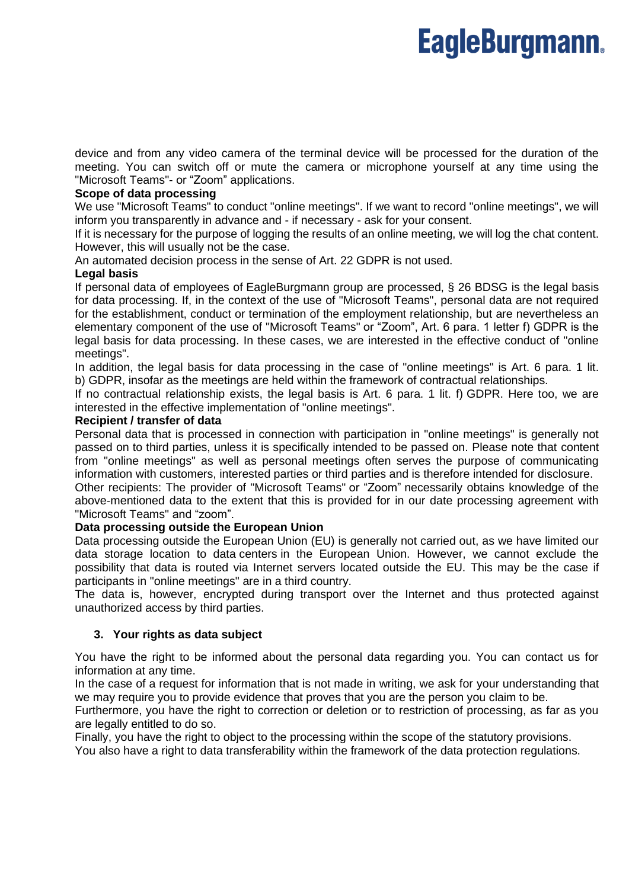device and from any video camera of the terminal device will be processed for the duration of the meeting. You can switch off or mute the camera or microphone yourself at any time using the "Microsoft Teams"- or "Zoom" applications.

#### **Scope of data processing**

We use "Microsoft Teams" to conduct "online meetings". If we want to record "online meetings", we will inform you transparently in advance and - if necessary - ask for your consent.

If it is necessary for the purpose of logging the results of an online meeting, we will log the chat content. However, this will usually not be the case.

An automated decision process in the sense of Art. 22 GDPR is not used.

#### **Legal basis**

If personal data of employees of EagleBurgmann group are processed, § 26 BDSG is the legal basis for data processing. If, in the context of the use of "Microsoft Teams", personal data are not required for the establishment, conduct or termination of the employment relationship, but are nevertheless an elementary component of the use of "Microsoft Teams" or "Zoom", Art. 6 para. 1 letter f) GDPR is the legal basis for data processing. In these cases, we are interested in the effective conduct of "online meetings".

In addition, the legal basis for data processing in the case of "online meetings" is Art. 6 para. 1 lit. b) GDPR, insofar as the meetings are held within the framework of contractual relationships.

If no contractual relationship exists, the legal basis is Art. 6 para. 1 lit. f) GDPR. Here too, we are interested in the effective implementation of "online meetings".

### **Recipient / transfer of data**

Personal data that is processed in connection with participation in "online meetings" is generally not passed on to third parties, unless it is specifically intended to be passed on. Please note that content from "online meetings" as well as personal meetings often serves the purpose of communicating information with customers, interested parties or third parties and is therefore intended for disclosure.

Other recipients: The provider of "Microsoft Teams" or "Zoom" necessarily obtains knowledge of the above-mentioned data to the extent that this is provided for in our date processing agreement with "Microsoft Teams" and "zoom".

#### **Data processing outside the European Union**

Data processing outside the European Union (EU) is generally not carried out, as we have limited our data storage location to data centers in the European Union. However, we cannot exclude the possibility that data is routed via Internet servers located outside the EU. This may be the case if participants in "online meetings" are in a third country.

The data is, however, encrypted during transport over the Internet and thus protected against unauthorized access by third parties.

# **3. Your rights as data subject**

You have the right to be informed about the personal data regarding you. You can contact us for information at any time.

In the case of a request for information that is not made in writing, we ask for your understanding that we may require you to provide evidence that proves that you are the person you claim to be.

Furthermore, you have the right to correction or deletion or to restriction of processing, as far as you are legally entitled to do so.

Finally, you have the right to object to the processing within the scope of the statutory provisions.

You also have a right to data transferability within the framework of the data protection regulations.